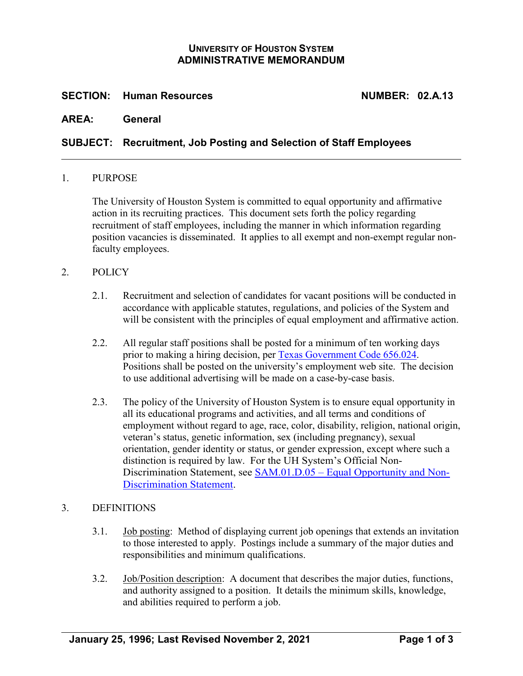## **UNIVERSITY OF HOUSTON SYSTEM ADMINISTRATIVE MEMORANDUM**

### **SECTION: Human Resources NUMBER: 02.A.13**

### **AREA: General**

### **SUBJECT: Recruitment, Job Posting and Selection of Staff Employees**

#### 1. PURPOSE

The University of Houston System is committed to equal opportunity and affirmative action in its recruiting practices. This document sets forth the policy regarding recruitment of staff employees, including the manner in which information regarding position vacancies is disseminated. It applies to all exempt and non-exempt regular nonfaculty employees.

### 2. POLICY

- 2.1. Recruitment and selection of candidates for vacant positions will be conducted in accordance with applicable statutes, regulations, and policies of the System and will be consistent with the principles of equal employment and affirmative action.
- 2.2. All regular staff positions shall be posted for a minimum of ten working days prior to making a hiring decision, per [Texas Government Code 656.024.](http://www.statutes.legis.state.tx.us/Docs/GV/htm/GV.656.htm#656.024) Positions shall be posted on the university's employment web site. The decision to use additional advertising will be made on a case-by-case basis.
- 2.3. The policy of the University of Houston System is to ensure equal opportunity in all its educational programs and activities, and all terms and conditions of employment without regard to age, race, color, disability, religion, national origin, veteran's status, genetic information, sex (including pregnancy), sexual orientation, gender identity or status, or gender expression, except where such a distinction is required by law. For the UH System's Official Non-Discrimination Statement, see **SAM.01.D.05** – [Equal Opportunity and Non-](https://uhsystem.edu/compliance-ethics/_docs/sam/01/1d51.pdf)[Discrimination Statement.](https://uhsystem.edu/compliance-ethics/_docs/sam/01/1d51.pdf)

#### 3. DEFINITIONS

- 3.1. Job posting: Method of displaying current job openings that extends an invitation to those interested to apply. Postings include a summary of the major duties and responsibilities and minimum qualifications.
- 3.2. Job/Position description: A document that describes the major duties, functions, and authority assigned to a position. It details the minimum skills, knowledge, and abilities required to perform a job.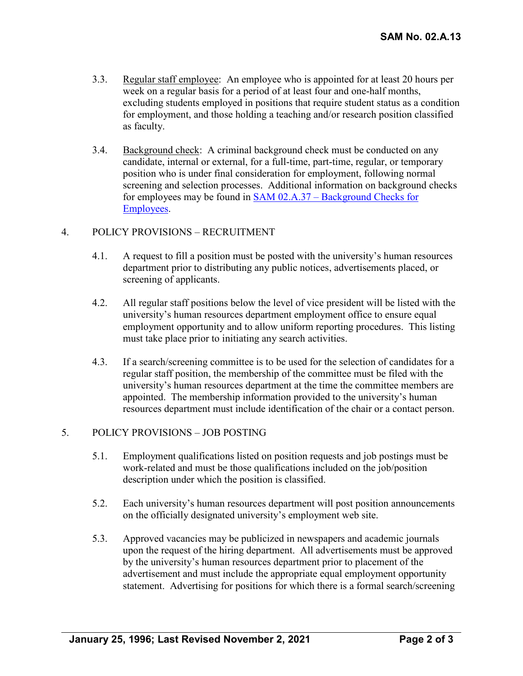- 3.3. Regular staff employee: An employee who is appointed for at least 20 hours per week on a regular basis for a period of at least four and one-half months, excluding students employed in positions that require student status as a condition for employment, and those holding a teaching and/or research position classified as faculty.
- 3.4. Background check: A criminal background check must be conducted on any candidate, internal or external, for a full-time, part-time, regular, or temporary position who is under final consideration for employment, following normal screening and selection processes. Additional information on background checks for employees may be found in SAM 02.A.37 – [Background Checks for](https://uhsystem.edu/compliance-ethics/_docs/sam/02/2a37.pdf)  [Employees.](https://uhsystem.edu/compliance-ethics/_docs/sam/02/2a37.pdf)

# 4. POLICY PROVISIONS – RECRUITMENT

- 4.1. A request to fill a position must be posted with the university's human resources department prior to distributing any public notices, advertisements placed, or screening of applicants.
- 4.2. All regular staff positions below the level of vice president will be listed with the university's human resources department employment office to ensure equal employment opportunity and to allow uniform reporting procedures. This listing must take place prior to initiating any search activities.
- 4.3. If a search/screening committee is to be used for the selection of candidates for a regular staff position, the membership of the committee must be filed with the university's human resources department at the time the committee members are appointed. The membership information provided to the university's human resources department must include identification of the chair or a contact person.

## 5. POLICY PROVISIONS – JOB POSTING

- 5.1. Employment qualifications listed on position requests and job postings must be work-related and must be those qualifications included on the job/position description under which the position is classified.
- 5.2. Each university's human resources department will post position announcements on the officially designated university's employment web site.
- 5.3. Approved vacancies may be publicized in newspapers and academic journals upon the request of the hiring department. All advertisements must be approved by the university's human resources department prior to placement of the advertisement and must include the appropriate equal employment opportunity statement. Advertising for positions for which there is a formal search/screening